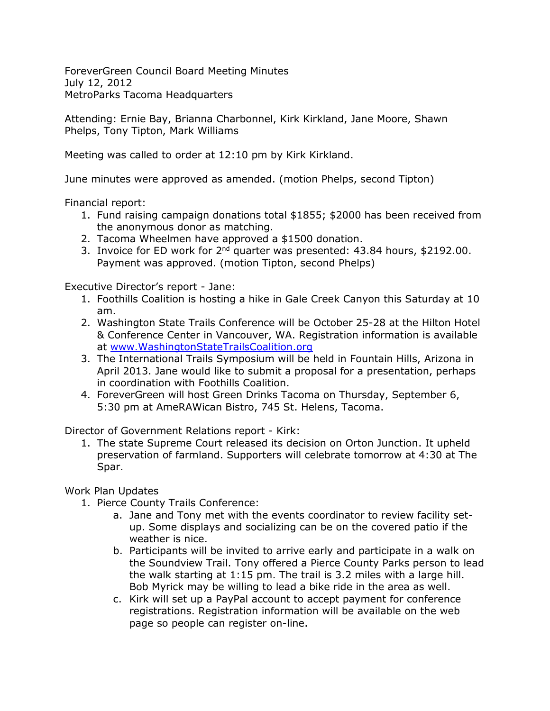ForeverGreen Council Board Meeting Minutes July 12, 2012 MetroParks Tacoma Headquarters

Attending: Ernie Bay, Brianna Charbonnel, Kirk Kirkland, Jane Moore, Shawn Phelps, Tony Tipton, Mark Williams

Meeting was called to order at 12:10 pm by Kirk Kirkland.

June minutes were approved as amended. (motion Phelps, second Tipton)

Financial report:

- 1. Fund raising campaign donations total \$1855; \$2000 has been received from the anonymous donor as matching.
- 2. Tacoma Wheelmen have approved a \$1500 donation.
- 3. Invoice for ED work for 2<sup>nd</sup> quarter was presented: 43.84 hours, \$2192.00. Payment was approved. (motion Tipton, second Phelps)

Executive Director's report - Jane:

- 1. Foothills Coalition is hosting a hike in Gale Creek Canyon this Saturday at 10 am.
- 2. Washington State Trails Conference will be October 25-28 at the Hilton Hotel & Conference Center in Vancouver, WA. Registration information is available at [www.WashingtonStateTrailsCoalition.org](http://www.washingtonstatetrailscoalition.org/)
- 3. The International Trails Symposium will be held in Fountain Hills, Arizona in April 2013. Jane would like to submit a proposal for a presentation, perhaps in coordination with Foothills Coalition.
- 4. ForeverGreen will host Green Drinks Tacoma on Thursday, September 6, 5:30 pm at AmeRAWican Bistro, 745 St. Helens, Tacoma.

Director of Government Relations report - Kirk:

1. The state Supreme Court released its decision on Orton Junction. It upheld preservation of farmland. Supporters will celebrate tomorrow at 4:30 at The Spar.

Work Plan Updates

- 1. Pierce County Trails Conference:
	- a. Jane and Tony met with the events coordinator to review facility setup. Some displays and socializing can be on the covered patio if the weather is nice.
	- b. Participants will be invited to arrive early and participate in a walk on the Soundview Trail. Tony offered a Pierce County Parks person to lead the walk starting at 1:15 pm. The trail is 3.2 miles with a large hill. Bob Myrick may be willing to lead a bike ride in the area as well.
	- c. Kirk will set up a PayPal account to accept payment for conference registrations. Registration information will be available on the web page so people can register on-line.